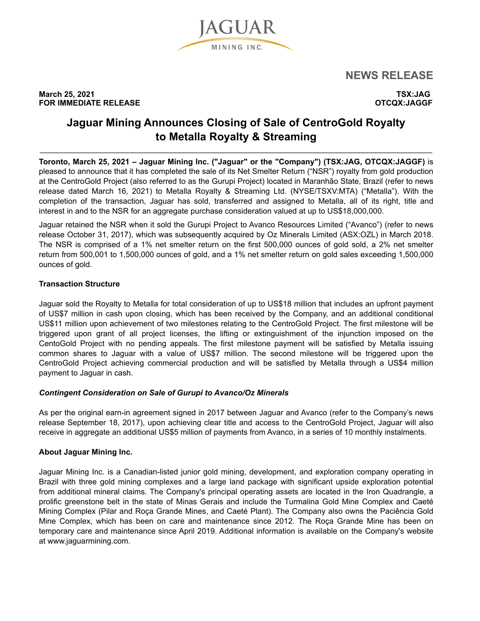

**NEWS RELEASE** 

**March 25, 2021 TSX:JAG FOR IMMEDIATE RELEASE CONSUMING A REGISTION CONSUMING A REGISTION OTCQX:JAGGF** 

# **Jaguar Mining Announces Closing of Sale of CentroGold Royalty to Metalla Royalty & Streaming**

 $\mathcal{L}_\mathcal{L} = \{ \mathcal{L}_\mathcal{L} = \{ \mathcal{L}_\mathcal{L} = \{ \mathcal{L}_\mathcal{L} = \{ \mathcal{L}_\mathcal{L} = \{ \mathcal{L}_\mathcal{L} = \{ \mathcal{L}_\mathcal{L} = \{ \mathcal{L}_\mathcal{L} = \{ \mathcal{L}_\mathcal{L} = \{ \mathcal{L}_\mathcal{L} = \{ \mathcal{L}_\mathcal{L} = \{ \mathcal{L}_\mathcal{L} = \{ \mathcal{L}_\mathcal{L} = \{ \mathcal{L}_\mathcal{L} = \{ \mathcal{L}_\mathcal{$ 

**Toronto, March 25, 2021 – Jaguar Mining Inc. ("Jaguar" or the "Company") (TSX:JAG, OTCQX:JAGGF)** is pleased to announce that it has completed the sale of its Net Smelter Return ("NSR") royalty from gold production at the CentroGold Project (also referred to as the Gurupi Project) located in Maranhão State, Brazil (refer to news release dated March 16, 2021) to Metalla Royalty & Streaming Ltd. (NYSE/TSXV:MTA) ("Metalla"). With the completion of the transaction, Jaguar has sold, transferred and assigned to Metalla, all of its right, title and interest in and to the NSR for an aggregate purchase consideration valued at up to US\$18,000,000.

Jaguar retained the NSR when it sold the Gurupi Project to Avanco Resources Limited ("Avanco") (refer to news release October 31, 2017), which was subsequently acquired by Oz Minerals Limited (ASX:OZL) in March 2018. The NSR is comprised of a 1% net smelter return on the first 500,000 ounces of gold sold, a 2% net smelter return from 500,001 to 1,500,000 ounces of gold, and a 1% net smelter return on gold sales exceeding 1,500,000 ounces of gold.

## **Transaction Structure**

Jaguar sold the Royalty to Metalla for total consideration of up to US\$18 million that includes an upfront payment of US\$7 million in cash upon closing, which has been received by the Company, and an additional conditional US\$11 million upon achievement of two milestones relating to the CentroGold Project. The first milestone will be triggered upon grant of all project licenses, the lifting or extinguishment of the injunction imposed on the CentoGold Project with no pending appeals. The first milestone payment will be satisfied by Metalla issuing common shares to Jaguar with a value of US\$7 million. The second milestone will be triggered upon the CentroGold Project achieving commercial production and will be satisfied by Metalla through a US\$4 million payment to Jaguar in cash.

## *Contingent Consideration on Sale of Gurupi to Avanco/Oz Minerals*

As per the original earn-in agreement signed in 2017 between Jaguar and Avanco (refer to the Company's news release September 18, 2017), upon achieving clear title and access to the CentroGold Project, Jaguar will also receive in aggregate an additional US\$5 million of payments from Avanco, in a series of 10 monthly instalments.

## **About Jaguar Mining Inc.**

Jaguar Mining Inc. is a Canadian-listed junior gold mining, development, and exploration company operating in Brazil with three gold mining complexes and a large land package with significant upside exploration potential from additional mineral claims. The Company's principal operating assets are located in the Iron Quadrangle, a prolific greenstone belt in the state of Minas Gerais and include the Turmalina Gold Mine Complex and Caeté Mining Complex (Pilar and Roça Grande Mines, and Caeté Plant). The Company also owns the Paciência Gold Mine Complex, which has been on care and maintenance since 2012. The Roça Grande Mine has been on temporary care and maintenance since April 2019. Additional information is available on the Company's website at www.jaguarmining.com.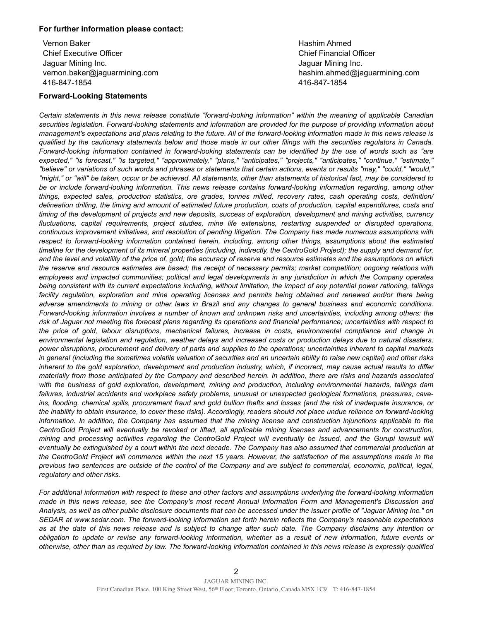#### **For further information please contact:**

Vernon Baker Chief Executive Officer Jaguar Mining Inc. vernon.baker@jaguarmining.com 416-847-1854

#### **Forward-Looking Statements**

Hashim Ahmed Chief Financial Officer Jaguar Mining Inc. hashim.ahmed@jaguarmining.com 416-847-1854

*Certain statements in this news release constitute "forward-looking information" within the meaning of applicable Canadian securities legislation. Forward-looking statements and information are provided for the purpose of providing information about management's expectations and plans relating to the future. All of the forward-looking information made in this news release is qualified by the cautionary statements below and those made in our other filings with the securities regulators in Canada. Forward-looking information contained in forward-looking statements can be identified by the use of words such as "are expected," "is forecast," "is targeted," "approximately," "plans," "anticipates," "projects," "anticipates," "continue," "estimate," "believe" or variations of such words and phrases or statements that certain actions, events or results "may," "could," "would," "might," or "will" be taken, occur or be achieved. All statements, other than statements of historical fact, may be considered to be or include forward-looking information. This news release contains forward-looking information regarding, among other things, expected sales, production statistics, ore grades, tonnes milled, recovery rates, cash operating costs, definition/ delineation drilling, the timing and amount of estimated future production, costs of production, capital expenditures, costs and timing of the development of projects and new deposits, success of exploration, development and mining activities, currency fluctuations, capital requirements, project studies, mine life extensions, restarting suspended or disrupted operations, continuous improvement initiatives, and resolution of pending litigation. The Company has made numerous assumptions with respect to forward-looking information contained herein, including, among other things, assumptions about the estimated timeline for the development of its mineral properties (including, indirectly, the CentroGold Project); the supply and demand for, and the level and volatility of the price of, gold; the accuracy of reserve and resource estimates and the assumptions on which the reserve and resource estimates are based; the receipt of necessary permits; market competition; ongoing relations with employees and impacted communities; political and legal developments in any jurisdiction in which the Company operates being consistent with its current expectations including, without limitation, the impact of any potential power rationing, tailings facility regulation, exploration and mine operating licenses and permits being obtained and renewed and/or there being adverse amendments to mining or other laws in Brazil and any changes to general business and economic conditions. Forward-looking information involves a number of known and unknown risks and uncertainties, including among others: the risk of Jaguar not meeting the forecast plans regarding its operations and financial performance; uncertainties with respect to the price of gold, labour disruptions, mechanical failures, increase in costs, environmental compliance and change in environmental legislation and regulation, weather delays and increased costs or production delays due to natural disasters, power disruptions, procurement and delivery of parts and supplies to the operations; uncertainties inherent to capital markets in general (including the sometimes volatile valuation of securities and an uncertain ability to raise new capital) and other risks inherent to the gold exploration, development and production industry, which, if incorrect, may cause actual results to differ materially from those anticipated by the Company and described herein. In addition, there are risks and hazards associated with the business of gold exploration, development, mining and production, including environmental hazards, tailings dam failures, industrial accidents and workplace safety problems, unusual or unexpected geological formations, pressures, caveins, flooding, chemical spills, procurement fraud and gold bullion thefts and losses (and the risk of inadequate insurance, or the inability to obtain insurance, to cover these risks). Accordingly, readers should not place undue reliance on forward-looking information. In addition, the Company has assumed that the mining license and construction injunctions applicable to the CentroGold Project will eventually be revoked or lifted, all applicable mining licenses and advancements for construction, mining and processing activities regarding the CentroGold Project will eventually be issued, and the Gurupi lawsuit will eventually be extinguished by a court within the next decade. The Company has also assumed that commercial production at the CentroGold Project will commence within the next 15 years. However, the satisfaction of the assumptions made in the previous two sentences are outside of the control of the Company and are subject to commercial, economic, political, legal, regulatory and other risks.* 

*For additional information with respect to these and other factors and assumptions underlying the forward-looking information made in this news release, see the Company's most recent Annual Information Form and Management's Discussion and Analysis, as well as other public disclosure documents that can be accessed under the issuer profile of "Jaguar Mining Inc." on SEDAR at www.sedar.com. The forward-looking information set forth herein reflects the Company's reasonable expectations as at the date of this news release and is subject to change after such date. The Company disclaims any intention or obligation to update or revise any forward-looking information, whether as a result of new information, future events or otherwise, other than as required by law. The forward-looking information contained in this news release is expressly qualified*